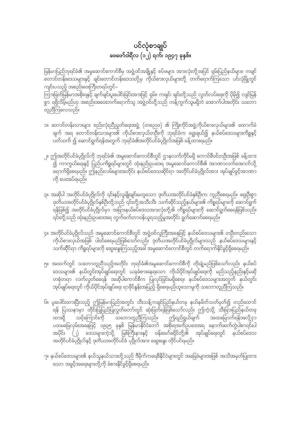# ပင်လုံစာချုပ် ဖေဖော်ဝါရီလ (၁၂) ရက်၊ ၁၉၄၇ ခုနှစ်။

မြန်မာပြည်ဘုရင်ခံ၏ အမှုဆောင်ကောင်စီမှ အဖွဲ့ဝင်အချို့နှင့် စပ်ဖများ အားလုံးတို့အပြင် ရှမ်းပြည်နယ်များ၊ ကချင် ကျင်းပသည့် အစည်းဝေးကြီးတရပ်တွင်–

ကြားဖြတ်မြန်မာအစိုးရနှင့် ချက်ချင်းပူးပေါင်းခြင်းအားဖြင့် ရှမ်း၊ ကချင်၊ ချင်းတို့သည် လွတ်လပ်ရေးကို ပိုမို၍ လျင်မြန် ှာ ရရှိလိမ့်မည်ဟု အစည်းအဝေးတက်ရောက်သူ အဖွဲ့ဝင်တို့သည် ကန့်ကွက်သူမရှိဘဲ အောက်ပါအတိုင်း သဘော -<br>တူညီကြလေသည်။

- ၁။ တောင်တန်းသားများ စည်းလုံးညီညွတ်ရေးအဖွဲ့ (တစညဖ) ၏ ကြိုးကိုင်အဖွဲ့ကိုယ်စားလှယ်များ၏ ထောက်ခံ ချက် အရ တောင်တန်းသားများ၏ ကိုယ်စားလှယ်တဦးကို ဘုရင်ခံက ရွေးချယ်၍ နယ်စပ်ဒေသများကိစ္စနှင့် .<br>ပတ်သက် ၍ ဆောင်ရွက်ရန်အတွက် ဘုရင်ခံ၏အတိုင်ပင်ခံပုဂ္ဂိုလ်အဖြစ် ခန့်ထားရမည်။
- ၂။ ဤအတိုင်ပင်ခံပုဂ္ဂိုလ်ကို ဘုရင်ခံ၏ အမှုဆောင်ကောင်စီတွင် ဌာနလက်ကိုင်မရှိ ကောင်စီဝင်တဦးအဖြစ် ခန့်ထား —<br>၍ ကာကွယ်ရေးနှင့် ပြည်ပကိစ္စရပ်များတွင် ထုံးနည်းဥပဒေရ အမှုဆောင်ကောင်စိ၏ အာဏာလက်အောက်သို့ -<br>ရောက်ရှိစေရမည်။ ဤနည်းလမ်းများအတိုင်း နယ်စပ်ဒေသဆိုင်ရာ အတိုင်ပင်ခံပုဂ္ဂိုလ်အား အုပ်ချုပ်ခွင့်အာဏာ ကို ပေးအပ်ရမည်။
- ၃။ အဆိုပါ အတိုင်ပင်ခံပုဂ္ဂိုလ်ကို ၎င်းနှင့်လူမျိုးချင်းမတူသော ဒုတိယအတိုင်ပင်ခံနှစ်ဦးက ကူညီစေရမည်။ ရှေးဦးစွာ ဒုတိယအတိုင်ပင်ခံပုဂ္ဂိုလ်နှစ်ဦးတို့သည် ၎င်းတို့အသီးသီး သက်ဆိုင်သည့်နယ်များ၏ ကိစ္စရပ်များကို ဆောင်ရွက် ရန်ဖြစ်၍ အတိုင်ပင်ခံပုဂ္ဂိုလ်မှာ အခြားနယ်စပ်ဒေသအားလုံးတို့၏ ကိစ္စရပ်များကို ဆောင်ရွက်စေရန်ဖြစ်သည်။ ုိင်တို့သည် ထုံးနည်းဥပဒေအရ တွက်ဖက်တာဝန်ယူရသည့်မှုအတိုင်း ရွက်ဆောင်စေရမည်။
- ၄။ အတိုင်ပင်ခံပုဂ္ဂိုလ်သည် အမှုဆောင်ကောင်စီတွင် အဖွဲ့ဝင်လူကြီးအနေဖြင့် နယ်စပ်ဒေသများ၏ တဉ်ီးတည်းသော ကိုယ်စားလှယ်အဖြစ် ပါဝင်စေရမည်ဖြစ်သော်လည်း ဒုတိယအတိုင်ပင်ခံပုဂ္ဂိုလ်များသည် နယ်စပ်ဒေသများနှင့် ာက်ဆိုင်ရာ ကိစ္စရပ်များကို ဆွေးနွေးကြသည့်အခါ အမှုဆောင်ကောင်စီတွင် တက်ရောက်နိုင်ခွင့်ရှိစေရမည်။
- ၅။ အထက်တွင် သဘောတူညီသည့်အတိုင်း ဘုရင်ခံ၏အမှုဆောင်ကောင်စီကို တိုးချဲ့မည်ဖြစ်သော်လည်း နယ်စပ် ဒေသများ၏ နယ်တွင်းအုပ်ချုပ်ရေးတွင် ယခုခံစားနေရသော ကိုယ်ပိုင်အုပ်ချုပ်ရေးကို မည်သည့်နှည်းနှင့်မဆို တစုံတရာ လက်လွှတ်စေရန် အဆိုပါကောင်စီက ပြုလုပ်ခြင်းမရှိစေရ။ နယ်စပ်ဒေသများအတွက် နယ်တွင်း
- ၆။ ပူးပေါင်းထားပြီးသည့် ဤမြန်မာပြည်အတွင်း သီးသန့်ကချင်ပြည်နယ်တခု နယ်နမိတ်သတ်မှတ်၍ တည်ထောင် "<br>"ရန် ပြဿနာမှာ တိုင်းပြုပြည်ပြုလွှတ်တော်တွင် ဆုံးဖြတ်ရန်ဖြစ်သော်လည်း ဤကဲ့သို့ သီးခြားပြည်နယ်တခု သင့်ကြောင်းကို သဘောတူညီကြသည်။ \_<br>ၟၮ႞ၣၣၛၟၯၟၯၟၯၟၟၟၟၟၟၟၟၟၟၟၟၟ<br>ၯ႞ၣၣၛၟၯၟၣၮၟၣၣၣၣၣၣ ထားရှိ ားကို တွေ့<br>ပထမခြေလှမ်းအနေဖြင့် ၁၉၃၅ ခုနှစ် မြန်မာနိုင်ငံတော် အစိုးရအက်ဥပဒေအရ နောက်ဆက်တွဲပါစာရင်းပါ အပိုင်း (၂) ဒေသများကဲ့သို့ မြစ်ကြီးနားနှင့် ဗန်းမော်ခရိုင်တို့၏ အုပ်ချုပ်ရေးတွင် နယ်စပ်ဒေသ အတိုင်ပင်ခံပုဂ္ဂိုလ်နှင့် ဒုတိယအတိုင်ပင်ခံ ပုဂ္ဂိုလ်အား ဆွေးနွေး တိုင်ပင်ရမည်။
- ၇။ နယ်စပ်ဒေသများ၏ နယ်သူနယ်သားတို့သည် ဒီမိုက်ကရေစီနိုင်ငံများတွင် အခြေခံများအဖြစ် အသိအမှတ်ပြုထား .<br>'သော အခွင့်အရေးများတို့ကို ခံစားနိုင်ခွင့်ရှိစေရမည်။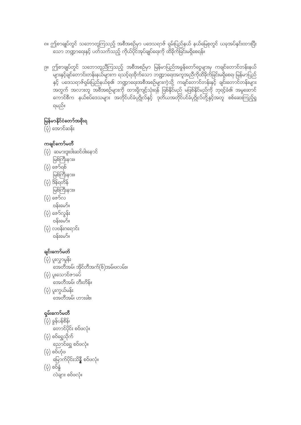- ၈။ ဤစာချုပ်တွင် သဘောတူကြသည့် အစီအစဉ်မှာ ပဒေသရာဇ် ရှမ်းပြည်နယ် နယ်မြေစုတွင် ယခုအပ်နှင်းထားပြီး a<br>သော ဘဏ္ဍာရေးနှင့် ပတ်သက်သည့် ကိုယ်ပိုင်အုပ်ချုပ်ရေးကို ထိခိုက်ခြင်းမရှိစေရန်။
- ၉။ ဤစာချုပ်တွင် သဘောတူညီကြသည့် အစီအစဉ်မှာ မြန်မာပြည်အခွန်တော်ငွေများမှ ကချင်တောင်တန်းနယ် rsm;ESifhcsifawmif;wef;e,frsm;u &oifh&xkdufaom b¾ma&;tultnDudkxdcdkufjcif;r&Sdap&/ jrefrmjynf ္သား သို့ သို့သည်။ မြောက်ပြည်နယ်စု၏ ဘဏ္ဍာရေးအစီအစဉ်များကဲ့သို့ ကချင်တောင်တန်းနှင့် ချင်းတောင်တန်းများ ာ<br>အတွက် အလားတူ အစီအစဉ်များကို ထားရှိကျင့်သုံးရန် ဖြစ်နိုင်မည် မဖြစ်နိုင်မည်ကို ဘုရင့်ခံ၏ အမှုဆောင် ကောင်စီက နယ်စပ်ဒေသများ အတိုင်ပင်ခံပုဂ္ဂိုလ်နှင့် 'ဒုတိယအတိုင်ပင်ခံပုဂ္ဂိုလ်တို့နှင့်အတူ စစ်ဆေးကြည့်ရှု ရမည်။

## မြန်မာနိုင်ငံတော်အစိုးရ

 $(\mathring{\varphi})$  အောင်ဆန်း

# ကချင်ကော်မတီ

- $\left(\r\phi\right)$  ဆမားဒူးဝါးဆင်ဝါးနောင်
- မြစ်ကြီးနား။
- (ပုံ) ဇော်ရစ် မြစ်ကြီးနား။
- $(\mathring{\varphi})$  ဒိန်ရတိန်
- မြစ်ကြီးနား။  $(\mathring{\varphi})$  ဇော်လ
- ပန်းမော်။
- (ပုံ) မော်လွန်း $\,$ ပန်းမော်။
- $(0, 0)$  လုပ်န်းဂရောင်း  $\circ$ န်းမော်။

# ချင်းကေ**ာ်**မတီ

- $(\mathring{\mathcal{C}})$  ပူးလွှာမှုန်း ူ<br>"အေတီအမ်၊ အိုင်တီအက်(စ်)အမ်၊ဖလမ်း။
- (ပုံ) ပူးသောင်ဇာခပ် အေတီအမ်၊ တီးတိန်။
- $(\mathring{\mathcal{C}})$  ပူးကွယ်မန်း ်<br>အေတီအမ်၊ ဟားခါး။

## ရမ်းကော်မတီ

- $(\mathring{\mathcal{C}})$  ခွန်ပန်စိန်၊
- တောင်ပိုင်း စဝ်ဖလုံ။
- (ပုံ) စဝ်ရွေသိုက်
- ညောင်ရွှေ စဝ်ဖလုံ။
- (ပုံ) စဝ်ဟုံဖ
- မြောက်ပိုင်းသိန္နီ စဝ်ဖလုံ။
- (ပုံ) စဝ်နွံ

လဲချား စဝ်ဖလုံ။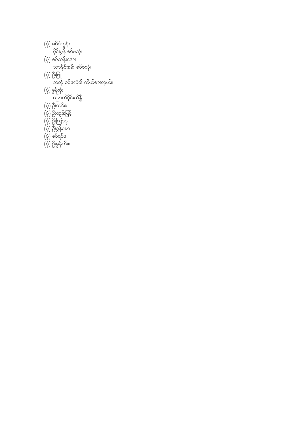- 
- (ပုံ) စဝ်စံထွန်း<br>မိုင်းပွန် စဝ်ဖလုံ။<br>(ပုံ) စဝ်ထန်းအေး
- သာမိုင်းခမ်း စဝ်ဖလုံ။<br>-
- 
- သာမိုင်းခမ်း စဝဲဖလုံ။<br>(ပုံ) ဦးဖြူ<br>သထုံ စဝ်ဖလုံ၏ ကိုယ်စားလှယ်။<br>(ပုံ) ခွန်းဖုံး<br>မြောက်ပိုင်းသိန္နီ<br>(ပုံ) ဦးတွန်းမြင့်<br>(ပုံ) ဦးဆွန်စော<br>(ပုံ) ဦးခွန်စော<br>(ပုံ) ဦးခွန်စော
- -
- 
- 
- 
- 
- 
- (ပုံ) ဦးခွန်ထီး။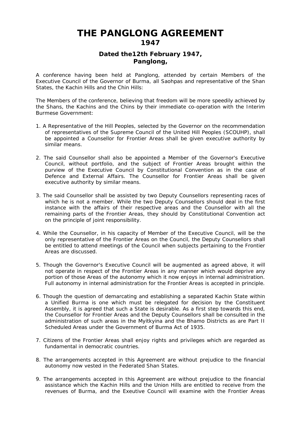# **THE PANGLONG AGREEMENT 1947**

## **Dated the12th February 1947, Panglong,**

A conference having been held at Panglong, attended by certain Members of the Executive Council of the Governor of Burma, all Saohpas and representative of the Shan States, the Kachin Hills and the Chin Hills:

The Members of the conference, believing that freedom will be more speedily achieved by the Shans, the Kachins and the Chins by their immediate co-operation with the Interim Burmese Government:

- 1. A Representative of the Hill Peoples, selected by the Governor on the recommendation of representatives of the Supreme Council of the United Hill Peoples (SCOUHP), shall be appointed a Counsellor for Frontier Areas shall be given executive authority by similar means.
- 2. The said Counsellor shall also be appointed a Member of the Governor's Executive Council, without portfolio, and the subject of Frontier Areas brought within the purview of the Executive Council by Constitutional Convention as in the case of Defence and External Affairs. The Counsellor for Frontier Areas shall be given executive authority by similar means.
- 3. The said Counsellor shall be assisted by two Deputy Counsellors representing races of which he is not a member. While the two Deputy Counsellors should deal in the first instance with the affairs of their respective areas and the Counsellor with all the remaining parts of the Frontier Areas, they should by Constitutional Convention act on the principle of joint responsibility.
- 4. While the Counsellor, in his capacity of Member of the Executive Council, will be the only representative of the Frontier Areas on the Council, the Deputy Counsellors shall be entitled to attend meetings of the Council when subjects pertaining to the Frontier Areas are discussed.
- 5. Though the Governor's Executive Council will be augmented as agreed above, it will not operate in respect of the Frontier Areas in any manner which would deprive any portion of those Areas of the autonomy which it now enjoys in internal administration. Full autonomy in internal administration for the Frontier Areas is accepted in principle.
- 6. Though the question of demarcating and establishing a separated Kachin State within a Unified Burma is one which must be relegated for decision by the Constituent Assembly, it is agreed that such a State is desirable. As a first step towards this end, the Counsellor for Frontier Areas and the Deputy Counsellors shall be consulted in the administration of such areas in the Myitkyina and the Bhamo Districts as are Part II Scheduled Areas under the Government of Burma Act of 1935.
- 7. Citizens of the Frontier Areas shall enjoy rights and privileges which are regarded as fundamental in democratic countries.
- 8. The arrangements accepted in this Agreement are without prejudice to the financial autonomy now vested in the Federated Shan States.
- 9. The arrangements accepted in this Agreement are without prejudice to the financial assistance which the Kachin Hills and the Union Hills are entitled to receive from the revenues of Burma, and the Exeutive Council will examine with the Frontier Areas